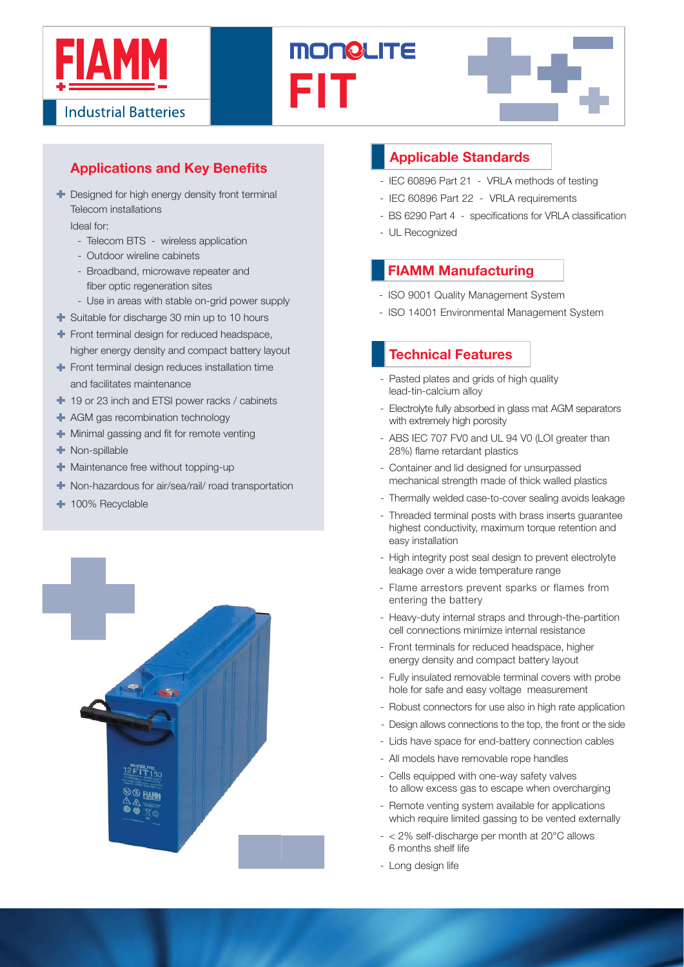





# **Applications and Key Benefits**

**+** Designed for high energy density front terminal Telecom installations

Ideal for:

- Telecom BTS wireless application
- Outdoor wireline cabinets
- Broadband, microwave repeater and fiber optic regeneration sites
- Use in areas with stable on-grid power supply
- Suitable for discharge 30 min up to 10 hours
- Front terminal design for reduced headspace. higher energy density and compact battery layout
- Front terminal design reduces installation time and facilitates maintenance
- <sup>1</sup> 19 or 23 inch and ETSI power racks / cabinets
- **+** AGM gas recombination technology
- $\blacksquare$  Minimal gassing and fit for remote venting
- **Non-spillable**
- **+** Maintenance free without topping-up
- Non-hazardous for air/sea/rail/ road transportation
- + 100% Recyclable



### **Applicable Standards**

- IEC 60896 Part 21 VRLA methods of testing
- IEC 60896 Part 22 VRLA requirements
- BS 6290 Part 4 specifications for VRLA classification
- UL Recognized

### **FIAMM Manufacturing**

- ISO 9001 Quality Management System
- ISO 14001 Environmental Management System

## - **Technical Features**

- Pasted plates and grids of high quality lead-tin-calcium alloy
- Electrolyte fully absorbed in glass mat AGM separators with extremely high porosity
- ABS IEC 707 FV0 and UL 94 V0 (LOI greater than 28%) flame retardant plastics
- Container and lid designed for unsurpassed mechanical strength made of thick walled plastics
- Thermally welded case-to-cover sealing avoids leakage
- Threaded terminal posts with brass inserts guarantee highest conductivity, maximum torque retention and easy installation
- High integrity post seal design to prevent electrolyte leakage over a wide temperature range
- Flame arrestors prevent sparks or flames from entering the battery
- Heavy-duty internal straps and through-the-partition cell connections minimize internal resistance
- Front terminals for reduced headspace, higher energy density and compact battery layout
- Fully insulated removable terminal covers with probe hole for safe and easy voltage measurement
- Robust connectors for use also in high rate application
- Design allows connections to the top, the front or the side
- Lids have space for end-battery connection cables
- All models have removable rope handles
- Cells equipped with one-way safety valves to allow excess gas to escape when overcharging
- Remote venting system available for applications which require limited gassing to be vented externally
- $< 2\%$  self-discharge per month at  $20^{\circ}$ C allows 6 months shelf life
- Long design life